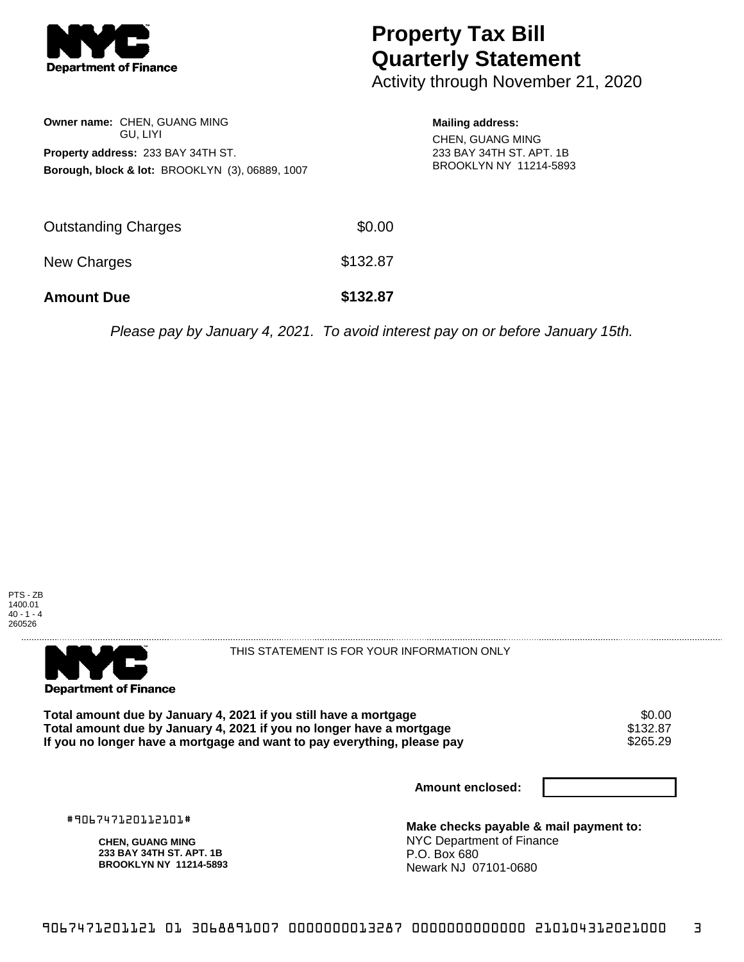

## **Property Tax Bill Quarterly Statement**

Activity through November 21, 2020

| <b>Owner name: CHEN, GUANG MING</b><br>GU. LIYI            |
|------------------------------------------------------------|
| <b>Property address: 233 BAY 34TH ST.</b>                  |
| <b>Borough, block &amp; lot: BROOKLYN (3), 06889, 1007</b> |
|                                                            |
|                                                            |

**Mailing address:** CHEN, GUANG MING 233 BAY 34TH ST. APT. 1B BROOKLYN NY 11214-5893

| <b>Amount Due</b>          | \$132.87 |
|----------------------------|----------|
| New Charges                | \$132.87 |
| <b>Outstanding Charges</b> | \$0.00   |

Please pay by January 4, 2021. To avoid interest pay on or before January 15th.





THIS STATEMENT IS FOR YOUR INFORMATION ONLY

Total amount due by January 4, 2021 if you still have a mortgage \$0.00<br>Total amount due by January 4, 2021 if you no longer have a mortgage \$132.87 **Total amount due by January 4, 2021 if you no longer have a mortgage \$132.87<br>If you no longer have a mortgage and want to pay everything, please pay \$265.29** If you no longer have a mortgage and want to pay everything, please pay

**Amount enclosed:**

#906747120112101#

**CHEN, GUANG MING 233 BAY 34TH ST. APT. 1B BROOKLYN NY 11214-5893**

**Make checks payable & mail payment to:** NYC Department of Finance P.O. Box 680 Newark NJ 07101-0680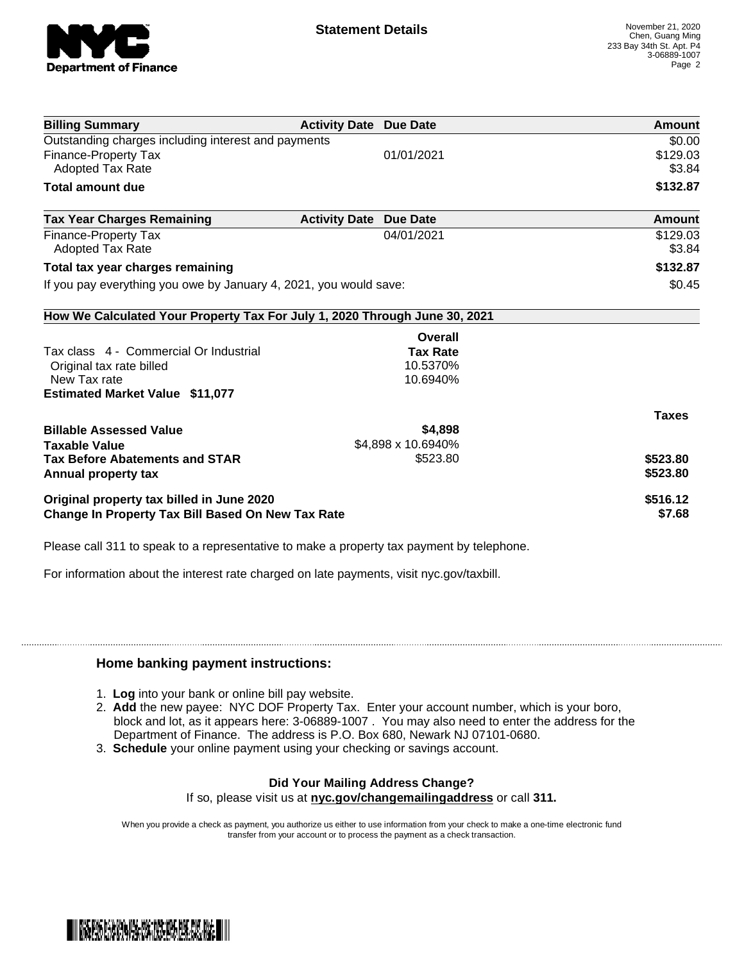

|                                                                                                |                 | Amount                                                                                                                                                                                                 |  |
|------------------------------------------------------------------------------------------------|-----------------|--------------------------------------------------------------------------------------------------------------------------------------------------------------------------------------------------------|--|
| Outstanding charges including interest and payments                                            | 01/01/2021      | \$0.00<br>\$129.03<br>\$3.84                                                                                                                                                                           |  |
|                                                                                                |                 | \$132.87                                                                                                                                                                                               |  |
|                                                                                                |                 | Amount                                                                                                                                                                                                 |  |
|                                                                                                | 04/01/2021      | \$129.03<br>\$3.84                                                                                                                                                                                     |  |
| Total tax year charges remaining                                                               |                 |                                                                                                                                                                                                        |  |
| If you pay everything you owe by January 4, 2021, you would save:                              |                 |                                                                                                                                                                                                        |  |
|                                                                                                |                 |                                                                                                                                                                                                        |  |
|                                                                                                | Overall         |                                                                                                                                                                                                        |  |
|                                                                                                | <b>Tax Rate</b> |                                                                                                                                                                                                        |  |
|                                                                                                |                 |                                                                                                                                                                                                        |  |
|                                                                                                |                 |                                                                                                                                                                                                        |  |
|                                                                                                |                 | <b>Taxes</b>                                                                                                                                                                                           |  |
|                                                                                                | \$4,898         |                                                                                                                                                                                                        |  |
|                                                                                                |                 |                                                                                                                                                                                                        |  |
|                                                                                                |                 | \$523.80<br>\$523.80                                                                                                                                                                                   |  |
| Original property tax billed in June 2020<br>Change In Property Tax Bill Based On New Tax Rate |                 |                                                                                                                                                                                                        |  |
|                                                                                                |                 | <b>Activity Date Due Date</b><br><b>Activity Date Due Date</b><br>How We Calculated Your Property Tax For July 1, 2020 Through June 30, 2021<br>10.5370%<br>10.6940%<br>\$4,898 x 10.6940%<br>\$523.80 |  |

Please call 311 to speak to a representative to make a property tax payment by telephone.

For information about the interest rate charged on late payments, visit nyc.gov/taxbill.

## **Home banking payment instructions:**

- 1. **Log** into your bank or online bill pay website.
- 2. **Add** the new payee: NYC DOF Property Tax. Enter your account number, which is your boro, block and lot, as it appears here: 3-06889-1007 . You may also need to enter the address for the Department of Finance. The address is P.O. Box 680, Newark NJ 07101-0680.
- 3. **Schedule** your online payment using your checking or savings account.

## **Did Your Mailing Address Change?**

If so, please visit us at **nyc.gov/changemailingaddress** or call **311.**

When you provide a check as payment, you authorize us either to use information from your check to make a one-time electronic fund transfer from your account or to process the payment as a check transaction.